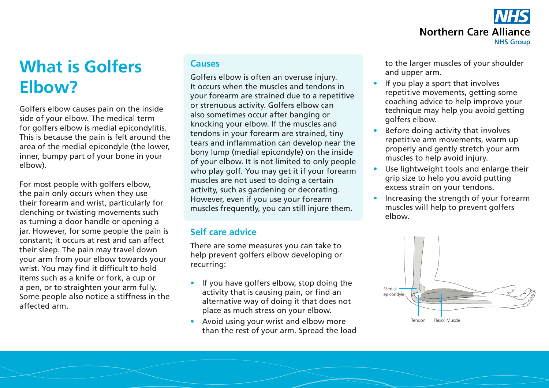

# **What is Golfers Elbow?**

Golfers elbow causes pain on the inside side of your elbow. The medical term for golfers elbow is medial epicondylitis. This is because the pain is felt around the area of the medial epicondyle (the lower, inner, bumpy part of your bone in your elbow).

For most people with golfers elbow, the pain only occurs when they use their forearm and wrist, particularly for clenching or twisting movements such as turning a door handle or opening a jar. However, for some people the pain is constant; it occurs at rest and can affect their sleep. The pain may travel down your arm from your elbow towards your wrist. You may find it difficult to hold items such as a knife or fork, a cup or a pen, or to straighten your arm fully. Some people also notice a stiffness in the affected arm.

### **Causes**

Golfers elbow is often an overuse injury. It occurs when the muscles and tendons in your forearm are strained due to a repetitive or strenuous activity. Golfers elbow can also sometimes occur after banging or knocking your elbow. If the muscles and tendons in your forearm are strained, tiny tears and inflammation can develop near the bony lump (medial epicondyle) on the inside of your elbow. It is not limited to only people who play golf. You may get it if your forearm muscles are not used to doing a certain activity, such as gardening or decorating. However, even if you use your forearm muscles frequently, you can still injure them.

## **Self care advice**

There are some measures you can take to help prevent golfers elbow developing or recurring:

- If you have golfers elbow, stop doing the activity that is causing pain, or find an alternative way of doing it that does not place as much stress on your elbow.
- Avoid using your wrist and elbow more than the rest of your arm. Spread the load

to the larger muscles of your shoulder and upper arm.

- If you play a sport that involves repetitive movements, getting some coaching advice to help improve your technique may help you avoid getting golfers elbow.
- Before doing activity that involves repetitive arm movements, warm up properly and gently stretch your arm muscles to help avoid injury.
- Use lightweight tools and enlarge their grip size to help you avoid putting excess strain on your tendons.
- Increasing the strength of your forearm muscles will help to prevent golfers elbow.